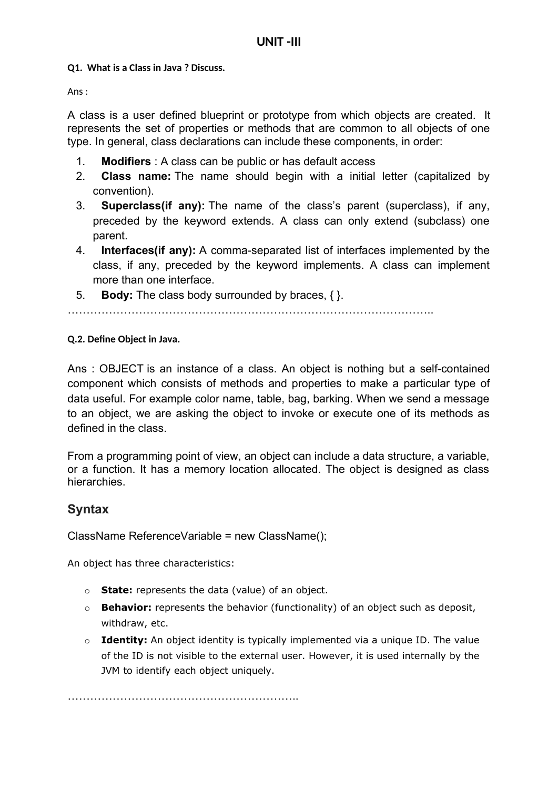### **Q1. What is a Class in Java ? Discuss.**

Ans :

A class is a user defined blueprint or prototype from which objects are created. It represents the set of properties or methods that are common to all objects of one type. In general, class declarations can include these components, in order:

- 1. **Modifiers** : A class can be public or has default access
- 2. **Class name:** The name should begin with a initial letter (capitalized by convention).
- 3. **Superclass(if any):** The name of the class's parent (superclass), if any, preceded by the keyword extends. A class can only extend (subclass) one parent.
- 4. **Interfaces(if any):** A comma-separated list of interfaces implemented by the class, if any, preceded by the keyword implements. A class can implement more than one interface.
- 5. **Body:** The class body surrounded by braces, { }.

……………………………………………………………………………………..

### **Q.2. Define Object in Java.**

Ans : OBJECT is an instance of a class. An object is nothing but a self-contained component which consists of methods and properties to make a particular type of data useful. For example color name, table, bag, barking. When we send a message to an object, we are asking the object to invoke or execute one of its methods as defined in the class.

From a programming point of view, an object can include a data structure, a variable, or a function. It has a memory location allocated. The object is designed as class hierarchies.

### **Syntax**

ClassName ReferenceVariable = new ClassName();

An object has three characteristics:

- o **State:** represents the data (value) of an object.
- o **Behavior:** represents the behavior (functionality) of an object such as deposit, withdraw, etc.
- o **Identity:** An object identity is typically implemented via a unique ID. The value of the ID is not visible to the external user. However, it is used internally by the JVM to identify each object uniquely.

……………………………………………………..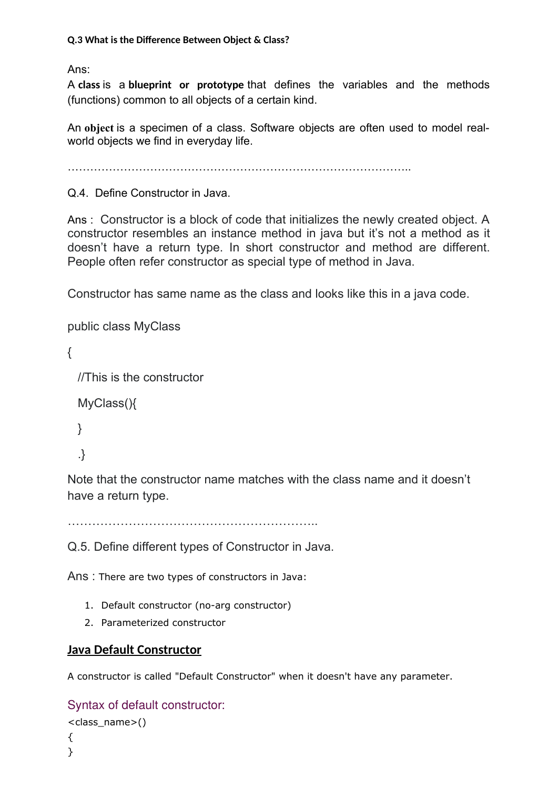Ans:

A **class** is a **blueprint or prototype** that defines the variables and the methods (functions) common to all objects of a certain kind.

An **object** is a specimen of a class. Software objects are often used to model realworld objects we find in everyday life.

………………………………………………………………………………..

Q.4. Define Constructor in Java.

Ans : Constructor is a block of code that initializes the newly created object. A constructor resembles an instance method in java but it's not a method as it doesn't have a return type. In short constructor and method are different. People often refer constructor as special type of method in Java.

Constructor has same name as the class and looks like this in a java code.

```
public class MyClass
```
 $\{$ 

//This is the constructor

```
 MyClass(){
```

```
 }
```

```
 .}
```
Note that the constructor name matches with the class name and it doesn't have a return type.

……………………………………………………..

Q.5. Define different types of Constructor in Java.

Ans : There are two types of constructors in Java:

- 1. Default constructor (no-arg constructor)
- 2. Parameterized constructor

# **Java Default Constructor**

A constructor is called "Default Constructor" when it doesn't have any parameter.

Syntax of default constructor:

```
<class_name>()
```
{ }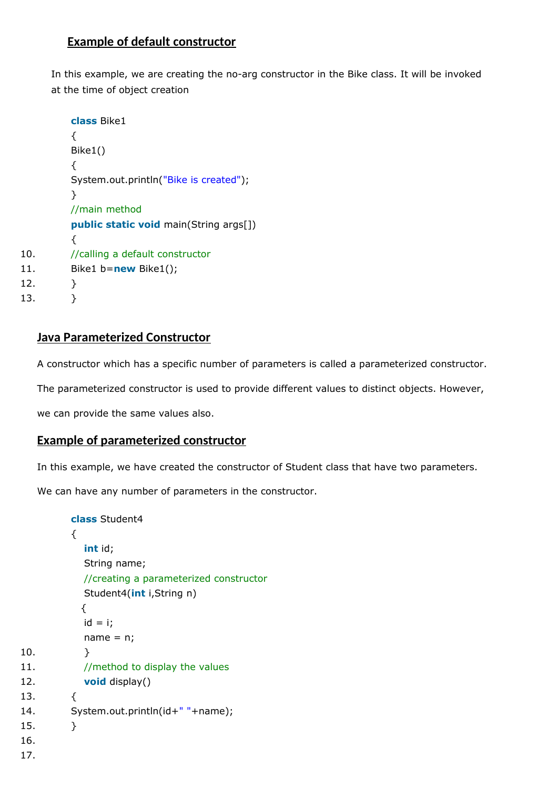## **Example of default constructor**

In this example, we are creating the no-arg constructor in the Bike class. It will be invoked at the time of object creation

```
class Bike1
         {
         Bike1()
         {
         System.out.println("Bike is created");
         }
         //main method
         public static void main(String args[])
         {
10. //calling a default constructor
11. Bike1 b=new Bike1();
12. }
13. }
```
## **Java Parameterized Constructor**

A constructor which has a specific number of parameters is called a parameterized constructor.

The parameterized constructor is used to provide different values to distinct objects. However,

we can provide the same values also.

### **Example of parameterized constructor**

In this example, we have created the constructor of Student class that have two parameters.

We can have any number of parameters in the constructor.

```
class Student4
        {
           int id;
           String name;
           //creating a parameterized constructor
           Student4(int i,String n)
           {
           id = i;name = n;10.   }
11. //method to display the values
12. void display()
13. {
14. System.out.println(id+" "+name);
15. }
16.
17.
```